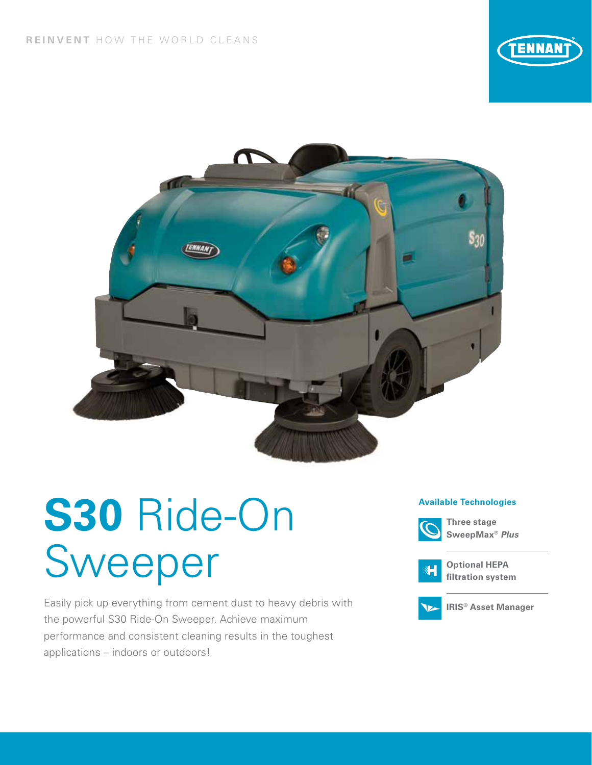



# **S30** Ride-On Sweeper

Easily pick up everything from cement dust to heavy debris with the powerful S30 Ride-On Sweeper. Achieve maximum performance and consistent cleaning results in the toughest applications – indoors or outdoors!

#### **Available Technologies**



**Three stage SweepMax®** *Plus*



**Optional HEPA filtration system**



**IRIS® Asset Manager**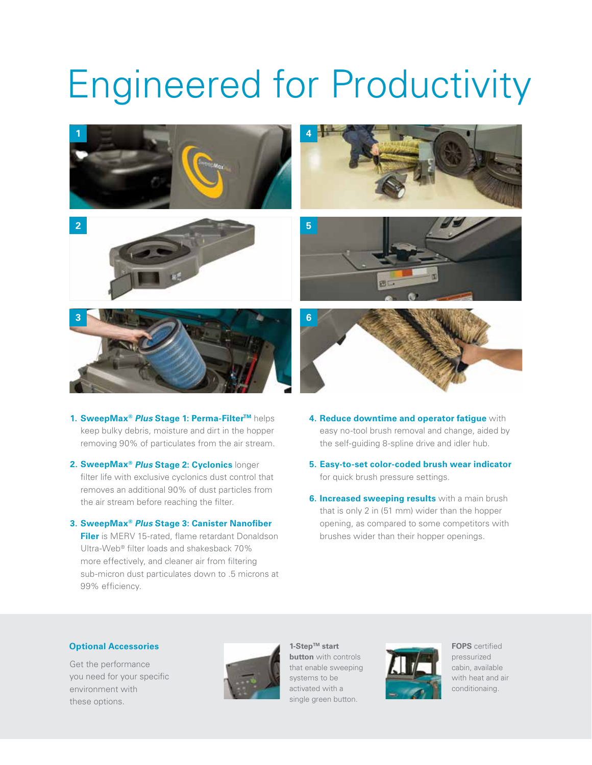## Engineered for Productivity



- **1. SweepMax®** *Plus* **Stage 1: Perma-FilterTM** helps keep bulky debris, moisture and dirt in the hopper removing 90% of particulates from the air stream.
- **2. SweepMax®** *Plus* **Stage 2: Cyclonics** longer filter life with exclusive cyclonics dust control that removes an additional 90% of dust particles from the air stream before reaching the filter.
- **3. SweepMax®** *Plus* **Stage 3: Canister Nanofiber Filer** is MERV 15-rated, flame retardant Donaldson Ultra-Web® filter loads and shakesback 70% more effectively, and cleaner air from filtering sub-micron dust particulates down to .5 microns at 99% efficiency.
- **4. Reduce downtime and operator fatigue** with easy no-tool brush removal and change, aided by the self-guiding 8-spline drive and idler hub.
- **5. Easy-to-set color-coded brush wear indicator** for quick brush pressure settings.
- **6. Increased sweeping results** with a main brush that is only 2 in (51 mm) wider than the hopper opening, as compared to some competitors with brushes wider than their hopper openings.

#### **Optional Accessories FOPS** certified

Get the performance you need for your specific environment with these options.



**1-StepTM start button** with controls that enable sweeping systems to be activated with a single green button.



pressurized cabin, available with heat and air conditionaing.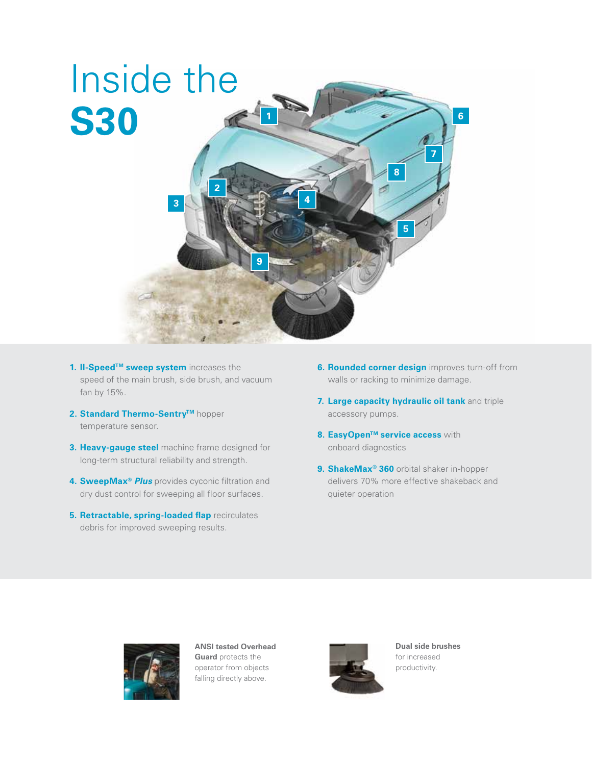

- **1. II-Speed™ sweep system** increases the speed of the main brush, side brush, and vacuum fan by 15%.
- **2. Standard Thermo-Sentry™** hopper temperature sensor.
- **3. Heavy-gauge steel** machine frame designed for long-term structural reliability and strength.
- **4. SweepMax®** *Plus* provides cyconic filtration and dry dust control for sweeping all floor surfaces.
- **5. Retractable, spring-loaded flap** recirculates debris for improved sweeping results.
- **6. Rounded corner design** improves turn-off from walls or racking to minimize damage.
- **7. Large capacity hydraulic oil tank** and triple accessory pumps.
- **8. EasyOpen™ service access with** onboard diagnostics
- **9. ShakeMax® 360** orbital shaker in-hopper delivers 70% more effective shakeback and quieter operation



**ANSI tested Overhead Guard** protects the operator from objects falling directly above.



**Dual side brushes**  for increased productivity.